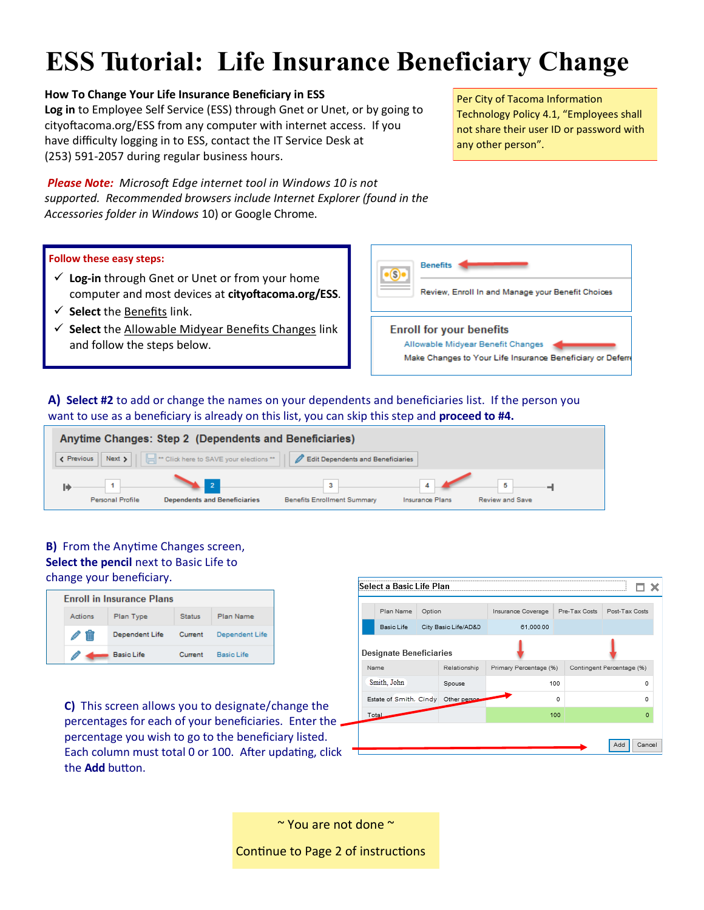# **ESS Tutorial: Life Insurance Beneficiary Change**

## **How To Change Your Life Insurance Beneficiary in ESS**

**Log in** to Employee Self Service (ESS) through Gnet or Unet, or by going to cityoftacoma.org/ESS from any computer with internet access. If you have difficulty logging in to ESS, contact the IT Service Desk at (253) 591-2057 during regular business hours.

*Please Note: Microsoft Edge internet tool in Windows 10 is not supported. Recommended browsers include Internet Explorer (found in the Accessories folder in Windows* 10) or Google Chrome.

### **Follow these easy steps:**

- **Log-in** through Gnet or Unet or from your home computer and most devices at **cityoftacoma.org/ESS**.
- **Select** the Benefits link.
- $\checkmark$  Select the Allowable Midyear Benefits Changes link and follow the steps below.

Per City of Tacoma Information Technology Policy 4.1, "Employees shall not share their user ID or password with any other person".



**A) Select #2** to add or change the names on your dependents and beneficiaries list. If the person you want to use as a beneficiary is already on this list, you can skip this step and **proceed to #4.**



## **B)** From the Anytime Changes screen, **Select the pencil** next to Basic Life to change your beneficiary.

| <b>Enroll in Insurance Plans</b> |                   |               |                |  |  |  |
|----------------------------------|-------------------|---------------|----------------|--|--|--|
| Actions                          | Plan Type         | <b>Status</b> | Plan Name      |  |  |  |
| $\overline{\mathbb{m}}$          | Dependent Life    | Current       | Dependent Life |  |  |  |
|                                  | <b>Basic Life</b> | Current       | Basic Life     |  |  |  |

**C)** This screen allows you to designate/change the percentages for each of your beneficiaries. Enter the percentage you wish to go to the beneficiary listed. Each column must total 0 or 100. After updating, click the **Add** button.

| Select a Basic Life Plan       |                      |              |                                     |     |                           |          |
|--------------------------------|----------------------|--------------|-------------------------------------|-----|---------------------------|----------|
| Plan Name                      | Option               |              | Pre-Tax Costs<br>Insurance Coverage |     | Post-Tax Costs            |          |
| <b>Basic Life</b>              | City Basic Life/AD&D |              | 61,000.00                           |     |                           |          |
| <b>Designate Beneficiaries</b> |                      |              |                                     |     |                           |          |
| Name                           |                      | Relationship | Primary Percentage (%)              |     | Contingent Percentage (%) |          |
| Smith, John                    |                      | Spouse       |                                     | 100 |                           | ٥        |
| Estate of Smith, Cindy         |                      | Other person |                                     | 0   |                           | o        |
| Total                          |                      |              |                                     | 100 |                           | $\Omega$ |
|                                |                      |              |                                     |     |                           |          |
|                                |                      |              |                                     |     | Add                       | Cancel   |

~ You are not done ~

Continue to Page 2 of instructions